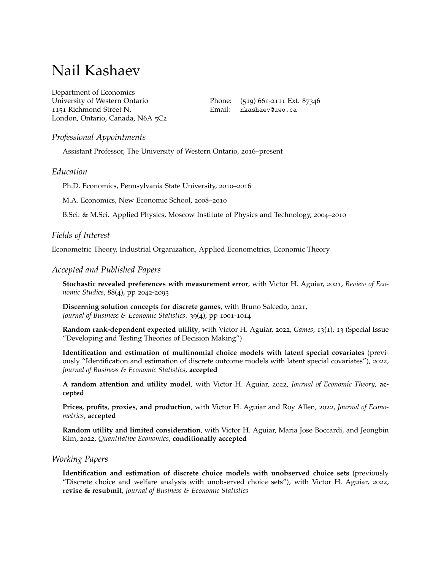# Nail Kashaev

Department of Economics University of Western Ontario 1151 Richmond Street N. London, Ontario, Canada, N6A 5C2

Phone: (519) 661-2111 Ext. 87346 Email: [nkashaev@uwo.ca](mailto:nkashaev@uwo.ca)

# *Professional Appointments*

Assistant Professor, The University of Western Ontario, 2016–present

## *Education*

Ph.D. Economics, Pennsylvania State University, 2010–2016

M.A. Economics, New Economic School, 2008–2010

B.Sci. & M.Sci. Applied Physics, Moscow Institute of Physics and Technology, 2004–2010

# *Fields of Interest*

Econometric Theory, Industrial Organization, Applied Econometrics, Economic Theory

#### *Accepted and Published Papers*

**Stochastic revealed preferences with measurement error**, with Victor H. Aguiar, 2021, *Review of Economic Studies*, 88(4), pp 2042-2093

**Discerning solution concepts for discrete games**, with Bruno Salcedo, 2021, *Journal of Business & Economic Statistics*. 39(4), pp 1001-1014

**Random rank-dependent expected utility**, with Victor H. Aguiar, 2022, *Games*, 13(1), 13 (Special Issue "Developing and Testing Theories of Decision Making")

**Identification and estimation of multinomial choice models with latent special covariates** (previously "Identification and estimation of discrete outcome models with latent special covariates"), 2022, *Journal of Business & Economic Statistics*, **accepted**

**A random attention and utility model**, with Victor H. Aguiar, 2022, *Journal of Economic Theory*, **accepted**

**Prices, profits, proxies, and production**, with Victor H. Aguiar and Roy Allen, 2022, *Journal of Econometrics*, **accepted**

**Random utility and limited consideration**, with Victor H. Aguiar, Maria Jose Boccardi, and Jeongbin Kim, 2022, *Quantitative Economics*, **conditionally accepted**

## *Working Papers*

**Identification and estimation of discrete choice models with unobserved choice sets** (previously "Discrete choice and welfare analysis with unobserved choice sets"), with Victor H. Aguiar, 2022, **revise & resubmit**, *Journal of Business & Economic Statistics*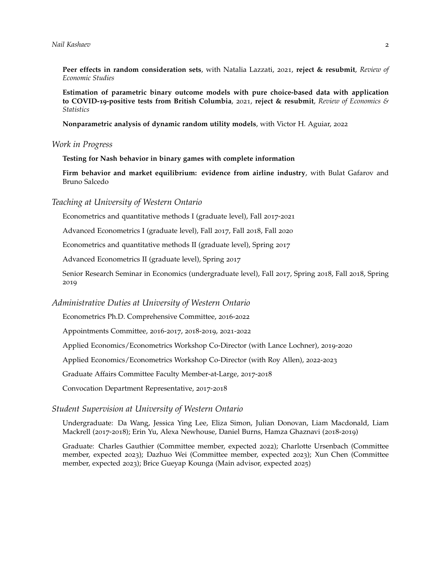**Peer effects in random consideration sets**, with Natalia Lazzati, 2021, **reject & resubmit**, *Review of Economic Studies*

**Estimation of parametric binary outcome models with pure choice-based data with application to COVID-19-positive tests from British Columbia**, 2021, **reject & resubmit**, *Review of Economics & Statistics*

**Nonparametric analysis of dynamic random utility models**, with Victor H. Aguiar, 2022

#### *Work in Progress*

**Testing for Nash behavior in binary games with complete information**

**Firm behavior and market equilibrium: evidence from airline industry**, with Bulat Gafarov and Bruno Salcedo

*Teaching at University of Western Ontario*

Econometrics and quantitative methods I (graduate level), Fall 2017-2021

Advanced Econometrics I (graduate level), Fall 2017, Fall 2018, Fall 2020

Econometrics and quantitative methods II (graduate level), Spring 2017

Advanced Econometrics II (graduate level), Spring 2017

Senior Research Seminar in Economics (undergraduate level), Fall 2017, Spring 2018, Fall 2018, Spring 2019

#### *Administrative Duties at University of Western Ontario*

Econometrics Ph.D. Comprehensive Committee, 2016-2022

Appointments Committee, 2016-2017, 2018-2019, 2021-2022

Applied Economics/Econometrics Workshop Co-Director (with Lance Lochner), 2019-2020

Applied Economics/Econometrics Workshop Co-Director (with Roy Allen), 2022-2023

Graduate Affairs Committee Faculty Member-at-Large, 2017-2018

Convocation Department Representative, 2017-2018

## *Student Supervision at University of Western Ontario*

Undergraduate: Da Wang, Jessica Ying Lee, Eliza Simon, Julian Donovan, Liam Macdonald, Liam Mackrell (2017-2018); Erin Yu, Alexa Newhouse, Daniel Burns, Hamza Ghaznavi (2018-2019)

Graduate: Charles Gauthier (Committee member, expected 2022); Charlotte Ursenbach (Committee member, expected 2023); Dazhuo Wei (Committee member, expected 2023); Xun Chen (Committee member, expected 2023); Brice Gueyap Kounga (Main advisor, expected 2025)